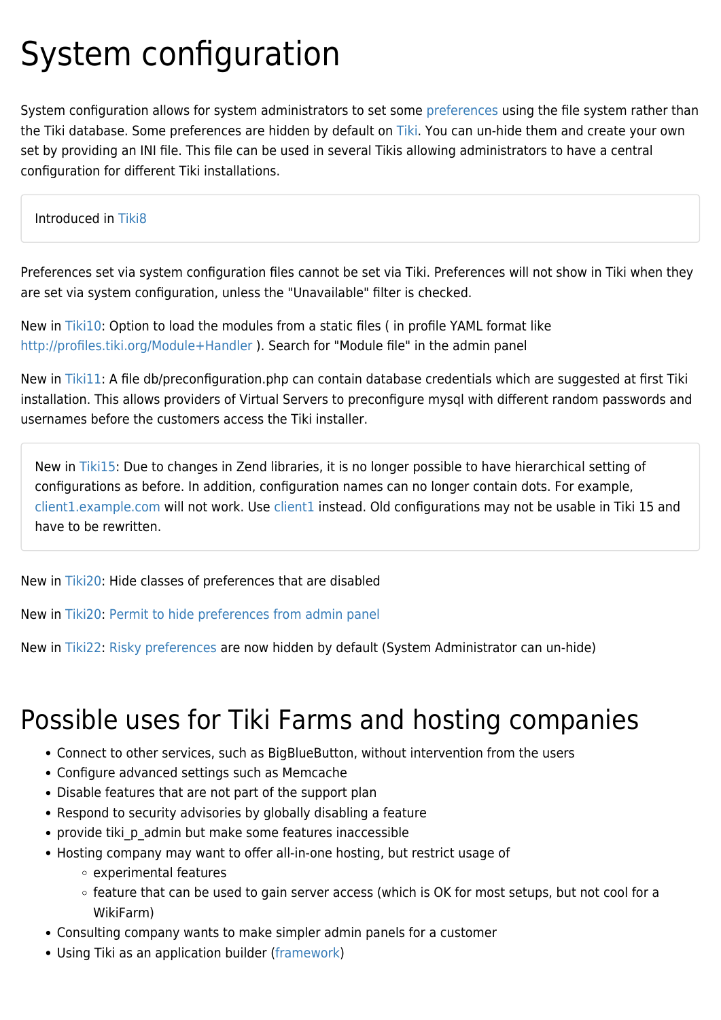# System configuration

System configuration allows for system administrators to set some [preferences](https://doc.tiki.org/preferences) using the file system rather than the [Tiki](https://tiki.org) database. Some preferences are hidden by default on Tiki. You can un-hide them and create your own set by providing an INI file. This file can be used in several Tikis allowing administrators to have a central configuration for different Tiki installations.

#### Introduced in [Tiki8](https://doc.tiki.org/Tiki8)

Preferences set via system configuration files cannot be set via Tiki. Preferences will not show in Tiki when they are set via system configuration, unless the "Unavailable" filter is checked.

New in [Tiki10:](https://doc.tiki.org/Tiki10) Option to load the modules from a static files ( in profile YAML format like <http://profiles.tiki.org/Module+Handler> ). Search for "Module file" in the admin panel

New in [Tiki11:](https://doc.tiki.org/Tiki11) A file db/preconfiguration.php can contain database credentials which are suggested at first Tiki installation. This allows providers of Virtual Servers to preconfigure mysql with different random passwords and usernames before the customers access the Tiki installer.

New in [Tiki15:](https://doc.tiki.org/Tiki15) Due to changes in Zend libraries, it is no longer possible to have hierarchical setting of configurations as before. In addition, configuration names can no longer contain dots. For example, [client1.example.com](https://doc.tiki.org/client1.example.com) will not work. Use [client1](https://doc.tiki.org/client1) instead. Old configurations may not be usable in Tiki 15 and have to be rewritten.

### New in [Tiki20:](https://doc.tiki.org/Tiki20) Hide classes of preferences that are disabled

New in [Tiki20:](https://doc.tiki.org/Tiki20) [Permit to hide preferences from admin panel](https://sourceforge.net/p/tikiwiki/code/69625)

New in [Tiki22:](https://doc.tiki.org/Tiki22) [Risky preferences](https://doc.tiki.org/Risky-Preferences) are now hidden by default (System Administrator can un-hide)

# Possible uses for Tiki Farms and hosting companies

- Connect to other services, such as BigBlueButton, without intervention from the users
- Configure advanced settings such as Memcache
- Disable features that are not part of the support plan
- Respond to security advisories by globally disabling a feature
- provide tiki p admin but make some features inaccessible
- Hosting company may want to offer all-in-one hosting, but restrict usage of
	- experimental features
	- o feature that can be used to gain server access (which is OK for most setups, but not cool for a WikiFarm)
- Consulting company wants to make simpler admin panels for a customer
- Using Tiki as an application builder [\(framework\)](https://doc.tiki.org/framework)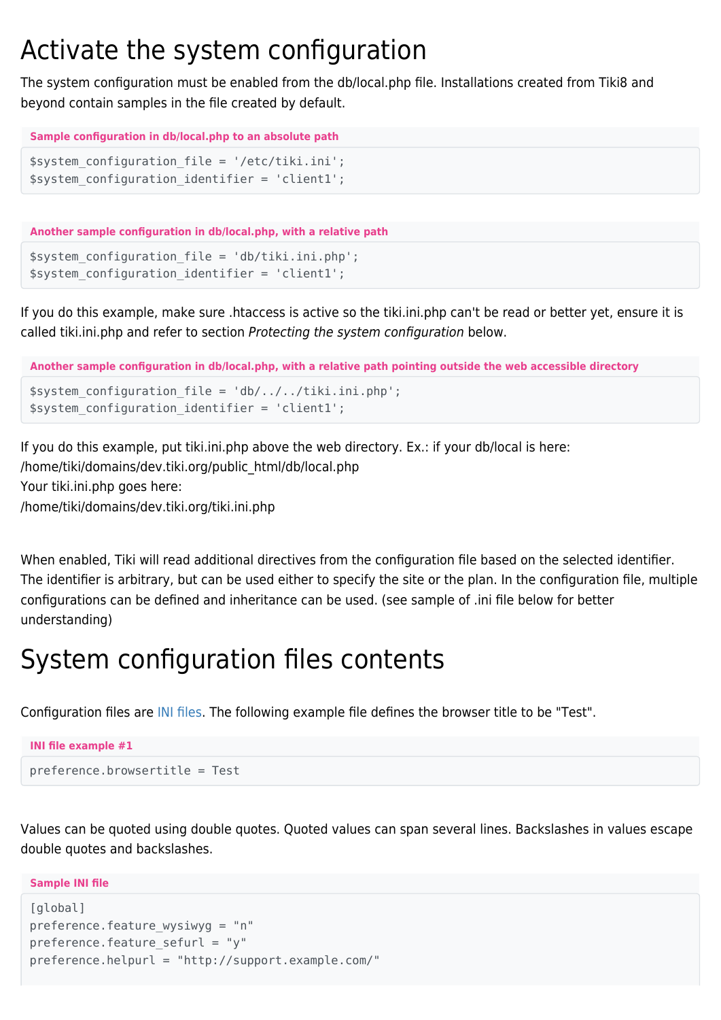## Activate the system configuration

The system configuration must be enabled from the db/local.php file. Installations created from Tiki8 and beyond contain samples in the file created by default.

```
Sample configuration in db/local.php to an absolute path
```

```
$system_configuration_file = '/etc/tiki.ini';
$system_configuration_identifier = 'client1';
```
**Another sample configuration in db/local.php, with a relative path**

```
$system_configuration_file = 'db/tiki.ini.php';
$system configuration identifier = 'client1';
```
If you do this example, make sure .htaccess is active so the tiki.ini.php can't be read or better yet, ensure it is called tiki.ini.php and refer to section Protecting the system configuration below.

```
Another sample configuration in db/local.php, with a relative path pointing outside the web accessible directory
$system configuration file = 'db/../../tiki.ini.php';
$system_configuration_identifier = 'client1';
```
If you do this example, put tiki.ini.php above the web directory. Ex.: if your db/local is here: /home/tiki/domains/dev.tiki.org/public\_html/db/local.php Your tiki.ini.php goes here: /home/tiki/domains/dev.tiki.org/tiki.ini.php

When enabled, Tiki will read additional directives from the configuration file based on the selected identifier. The identifier is arbitrary, but can be used either to specify the site or the plan. In the configuration file, multiple configurations can be defined and inheritance can be used. (see sample of .ini file below for better understanding)

# System configuration files contents

Configuration files are [INI files.](https://en.wikipedia.org/wiki/INI_file) The following example file defines the browser title to be "Test".

```
INI file example #1
preference.browsertitle = Test
```
Values can be quoted using double quotes. Quoted values can span several lines. Backslashes in values escape double quotes and backslashes.

**Sample INI file**

```
[global]
preference.feature wysiwyg = "n"
preference.feature sefurl = "y"
preference.helpurl = "http://support.example.com/"
```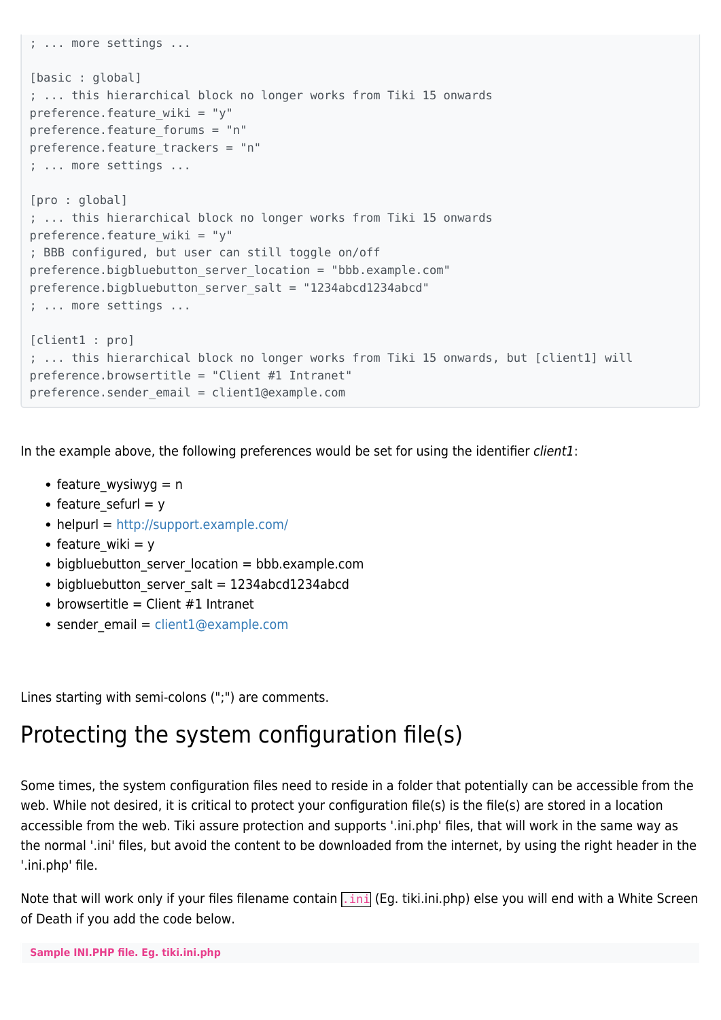```
; ... more settings ...
[basic : global]
; ... this hierarchical block no longer works from Tiki 15 onwards
preference.feature wiki = "y"
preference.feature forums = "n"
preference.feature trackers = "n"
; ... more settings ...
[pro : global]
; ... this hierarchical block no longer works from Tiki 15 onwards
preference.feature wiki = "y"
; BBB configured, but user can still toggle on/off
preference.bigbluebutton server location = "bbb.example.com"
preference.bigbluebutton_server_salt = "1234abcd1234abcd"
; ... more settings ...
[client1 : pro]
; ... this hierarchical block no longer works from Tiki 15 onwards, but [client1] will
preference.browsertitle = "Client #1 Intranet"
preference.sender_email = client1@example.com
```
In the example above, the following preferences would be set for using the identifier *client1*:

- feature wysiwyg  $= n$
- feature sefurl  $= y$
- $\bullet$  helpurl =<http://support.example.com/>
- feature wiki  $= y$
- bigbluebutton server location = bbb.example.com
- bigbluebutton server salt = 1234abcd1234abcd
- browsertitle = Client  $#1$  Intranet
- $\bullet$  sender email = [client1@example.com](mailto:client1@example.com)

Lines starting with semi-colons (";") are comments.

## Protecting the system configuration file(s)

Some times, the system configuration files need to reside in a folder that potentially can be accessible from the web. While not desired, it is critical to protect your configuration file(s) is the file(s) are stored in a location accessible from the web. Tiki assure protection and supports '.ini.php' files, that will work in the same way as the normal '.ini' files, but avoid the content to be downloaded from the internet, by using the right header in the '.ini.php' file.

Note that will work only if your files filename contain .ini (Eg. tiki.ini.php) else you will end with a White Screen of Death if you add the code below.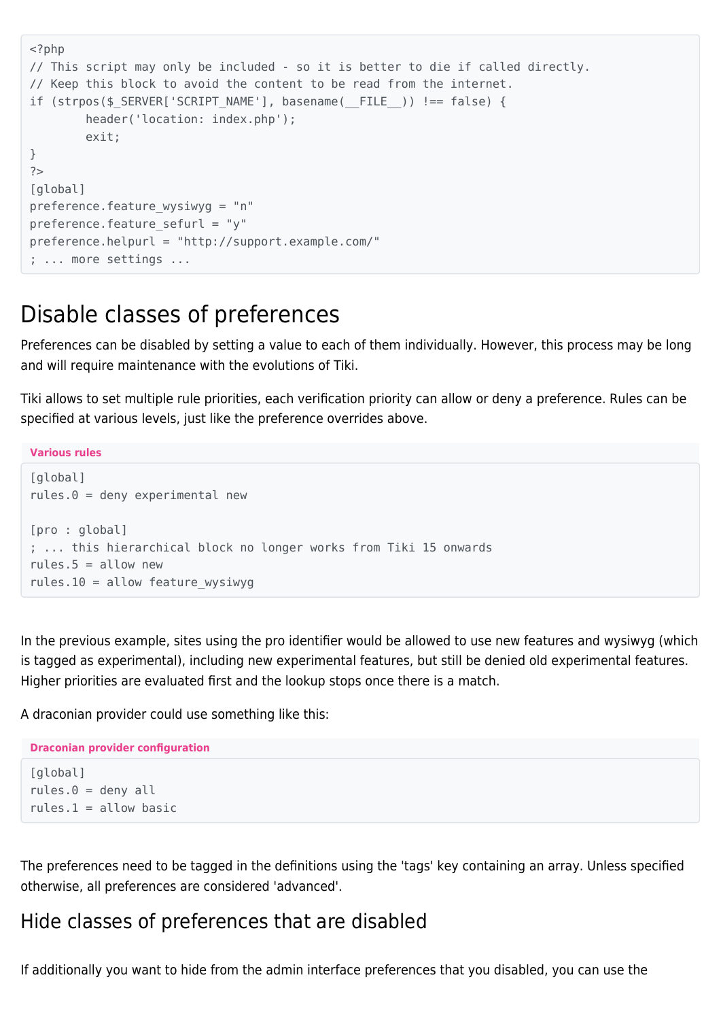```
<?php
// This script may only be included - so it is better to die if called directly.
// Keep this block to avoid the content to be read from the internet.
if (strpos($ SERVER['SCRIPT_NAME'], basename(__FILE__)) !== false) {
        header('location: index.php');
        exit;
}
?[global]
preference.feature wysiwyg = "n"
preference.feature sefurl = "v"
preference.helpurl = "http://support.example.com/"
; ... more settings ...
```
## Disable classes of preferences

Preferences can be disabled by setting a value to each of them individually. However, this process may be long and will require maintenance with the evolutions of Tiki.

Tiki allows to set multiple rule priorities, each verification priority can allow or deny a preference. Rules can be specified at various levels, just like the preference overrides above.

```
Various rules
[global]
rules.0 = deny experimental new[pro : global]
; ... this hierarchical block no longer works from Tiki 15 onwards
rules.5 =allow new
rules.10 = allow feature wysiwyg
```
In the previous example, sites using the pro identifier would be allowed to use new features and wysiwyg (which is tagged as experimental), including new experimental features, but still be denied old experimental features. Higher priorities are evaluated first and the lookup stops once there is a match.

A draconian provider could use something like this:

```
Draconian provider configuration
[global]
rules.0 = deny allrules.1 =allow basic
```
The preferences need to be tagged in the definitions using the 'tags' key containing an array. Unless specified otherwise, all preferences are considered 'advanced'.

### Hide classes of preferences that are disabled

If additionally you want to hide from the admin interface preferences that you disabled, you can use the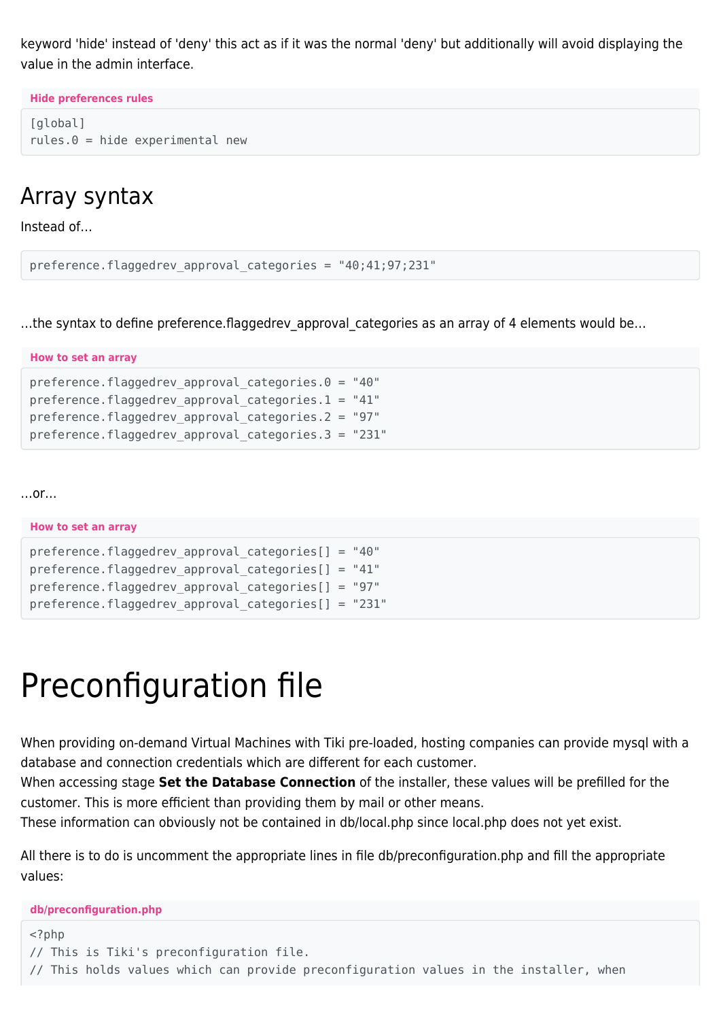keyword 'hide' instead of 'deny' this act as if it was the normal 'deny' but additionally will avoid displaying the value in the admin interface.

**Hide preferences rules**

```
[global]
rules.0 = hide experimental new
```
## Array syntax

Instead of…

```
preference.flaggedrev_approval_categories = "40;41;97;231"
```
...the syntax to define preference.flaggedrev approval categories as an array of 4 elements would be...

| How to set an array                                   |
|-------------------------------------------------------|
| preference.flaggedrev approval categories. $0 = 40$ " |
| preference.flaggedrev approval categories.1 = $"41"$  |
| preference.flaggedrev_approval_categories.2 = "97"    |
| preference.flaggedrev approval categories.3 = "231"   |

…or…

| How to set an array                                    |
|--------------------------------------------------------|
| preference.flaggedrev approval categories $[] = "40"$  |
| preference.flaggedrev approval categories $[] = "41"$  |
| preference.flaggedrev approval categories $[] = "97"$  |
| preference.flaggedrev approval categories $[] = "231"$ |

# Preconfiguration file

When providing on-demand Virtual Machines with Tiki pre-loaded, hosting companies can provide mysql with a database and connection credentials which are different for each customer.

When accessing stage **Set the Database Connection** of the installer, these values will be prefilled for the customer. This is more efficient than providing them by mail or other means.

These information can obviously not be contained in db/local.php since local.php does not yet exist.

All there is to do is uncomment the appropriate lines in file db/preconfiguration.php and fill the appropriate values:

**db/preconfiguration.php**

```
<?php
// This is Tiki's preconfiguration file.
// This holds values which can provide preconfiguration values in the installer, when
```